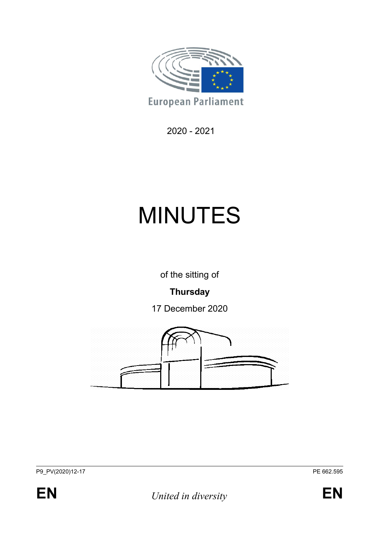

2020 - 2021

# MINUTES

of the sitting of

# **Thursday**

17 December 2020



P9\_PV(2020)12-17 Perfect 2020 PV(2020)12-17



**EN** *United in diversity* **EN**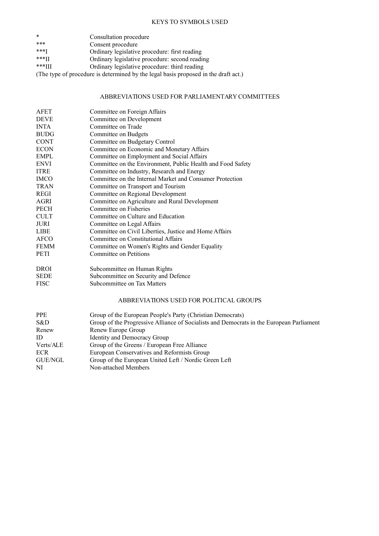#### KEYS TO SYMBOLS USED

| $\ast$             | Consultation procedure                         |
|--------------------|------------------------------------------------|
| ***                | Consent procedure                              |
| $***$ <sup>T</sup> | Ordinary legislative procedure: first reading  |
| $***II$            | Ordinary legislative procedure: second reading |
| $***III$           | Ordinary legislative procedure: third reading  |

(The type of procedure is determined by the legal basis proposed in the draft act.)

#### ABBREVIATIONS USED FOR PARLIAMENTARY COMMITTEES

| AFET        | Committee on Foreign Affairs                                |
|-------------|-------------------------------------------------------------|
| <b>DEVE</b> | Committee on Development                                    |
| <b>INTA</b> | Committee on Trade                                          |
| <b>BUDG</b> | Committee on Budgets                                        |
| <b>CONT</b> | Committee on Budgetary Control                              |
| <b>ECON</b> | Committee on Economic and Monetary Affairs                  |
| <b>EMPL</b> | Committee on Employment and Social Affairs                  |
| <b>ENVI</b> | Committee on the Environment, Public Health and Food Safety |
| <b>ITRE</b> | Committee on Industry, Research and Energy                  |
| <b>IMCO</b> | Committee on the Internal Market and Consumer Protection    |
| <b>TRAN</b> | Committee on Transport and Tourism                          |
| <b>REGI</b> | Committee on Regional Development                           |
| AGRI        | Committee on Agriculture and Rural Development              |
| <b>PECH</b> | Committee on Fisheries                                      |
| <b>CULT</b> | Committee on Culture and Education                          |
| <b>JURI</b> | Committee on Legal Affairs                                  |
| <b>LIBE</b> | Committee on Civil Liberties, Justice and Home Affairs      |
| AFCO        | Committee on Constitutional Affairs                         |
| <b>FEMM</b> | Committee on Women's Rights and Gender Equality             |
| <b>PETI</b> | Committee on Petitions                                      |
|             |                                                             |

DROI Subcommittee on Human Rights

| SEDE | Subcommittee on Security and Defence |  |
|------|--------------------------------------|--|
|      |                                      |  |

FISC Subcommittee on Tax Matters

#### ABBREVIATIONS USED FOR POLITICAL GROUPS

| <b>PPE</b> | Group of the European People's Party (Christian Democrats)                               |
|------------|------------------------------------------------------------------------------------------|
| S&D        | Group of the Progressive Alliance of Socialists and Democrats in the European Parliament |
| Renew      | Renew Europe Group                                                                       |
| ID         | Identity and Democracy Group                                                             |
| Verts/ALE  | Group of the Greens / European Free Alliance                                             |
| <b>ECR</b> | European Conservatives and Reformists Group                                              |
| GUE/NGL    | Group of the European United Left / Nordic Green Left                                    |
| NI         | Non-attached Members                                                                     |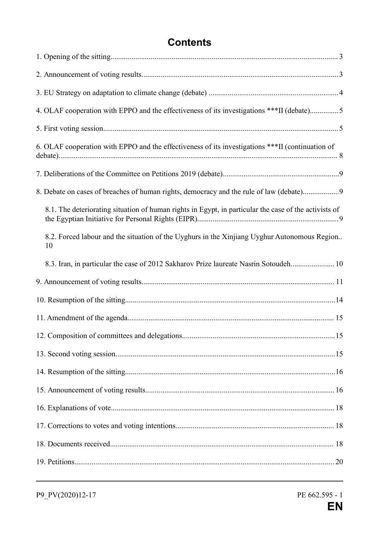# **Contents**

| 4. OLAF cooperation with EPPO and the effectiveness of its investigations ***II (debate)5             |
|-------------------------------------------------------------------------------------------------------|
|                                                                                                       |
| 6. OLAF cooperation with EPPO and the effectiveness of its investigations ***II (continuation of      |
|                                                                                                       |
| 8. Debate on cases of breaches of human rights, democracy and the rule of law (debate)9               |
| 8.1. The deteriorating situation of human rights in Egypt, in particular the case of the activists of |
| 8.2. Forced labour and the situation of the Uyghurs in the Xinjiang Uyghur Autonomous Region<br>10    |
| 8.3. Iran, in particular the case of 2012 Sakharov Prize laureate Nasrin Sotoudeh 10                  |
|                                                                                                       |
|                                                                                                       |
|                                                                                                       |
|                                                                                                       |
|                                                                                                       |
|                                                                                                       |
|                                                                                                       |
|                                                                                                       |
|                                                                                                       |
|                                                                                                       |
|                                                                                                       |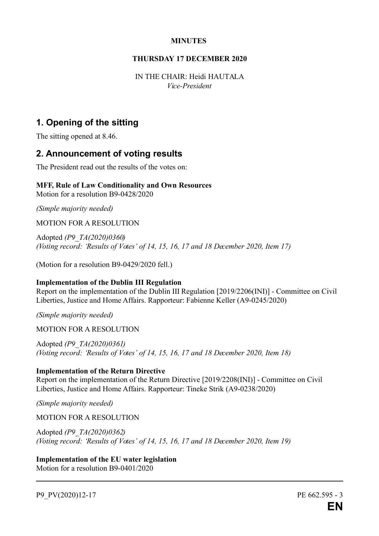#### **MINUTES**

#### **THURSDAY 17 DECEMBER 2020**

IN THE CHAIR: Heidi HAUTALA *Vice-President*

## **1. Opening of the sitting**

The sitting opened at 8.46.

## **2. Announcement of voting results**

The President read out the results of the votes on:

#### **MFF, Rule of Law Conditionality and Own Resources** Motion for a resolution B9-0428/2020

*(Simple majority needed)*

MOTION FOR A RESOLUTION

Adopted *(P9\_TA(2020)0360) (Voting record: 'Results of Votes' of 14, 15, 16, 17 and 18 December 2020, Item 17)*

(Motion for a resolution B9-0429/2020 fell.)

#### **Implementation of the Dublin III Regulation**

Report on the implementation of the Dublin III Regulation [2019/2206(INI)] - Committee on Civil Liberties, Justice and Home Affairs. Rapporteur: Fabienne Keller (A9-0245/2020)

*(Simple majority needed)*

MOTION FOR A RESOLUTION

Adopted *(P9\_TA(2020)0361) (Voting record: 'Results of Votes' of 14, 15, 16, 17 and 18 December 2020, Item 18)*

#### **Implementation of the Return Directive**

Report on the implementation of the Return Directive [2019/2208(INI)] - Committee on Civil Liberties, Justice and Home Affairs. Rapporteur: Tineke Strik (A9-0238/2020)

*(Simple majority needed)*

MOTION FOR A RESOLUTION

Adopted *(P9\_TA(2020)0362) (Voting record: 'Results of Votes' of 14, 15, 16, 17 and 18 December 2020, Item 19)*

**Implementation of the EU water legislation** Motion for a resolution B9-0401/2020

P9\_PV(2020)12-17 PE 662.595 - 3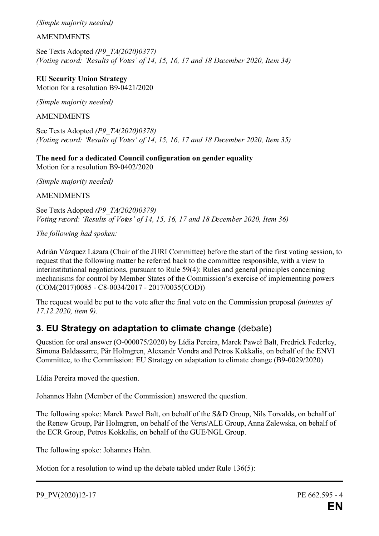*(Simple majority needed)*

#### AMENDMENTS

See Texts Adopted *(P9\_TA(2020)0377) (Voting record: 'Results of Votes' of 14, 15, 16, 17 and 18 December 2020, Item 34)*

**EU Security Union Strategy** Motion for a resolution B9-0421/2020

*(Simple majority needed)*

AMENDMENTS

See Texts Adopted *(P9\_TA(2020)0378) (Voting record: 'Results of Votes' of 14, 15, 16, 17 and 18 December 2020, Item 35)*

**The need for a dedicated Council configuration on gender equality** Motion for a resolution B9-0402/2020

*(Simple majority needed)*

**AMENDMENTS** 

See Texts Adopted *(P9\_TA(2020)0379) Voting record: 'Results of Votes' of 14, 15, 16, 17 and 18 December 2020, Item 36)*

*The following had spoken:*

Adrián Vázquez Lázara (Chair of the JURI Committee) before the start of the first voting session, to request that the following matter be referred back to the committee responsible, with a view to interinstitutional negotiations, pursuant to Rule 59(4): Rules and general principles concerning mechanisms for control by Member States of the Commission's exercise of implementing powers (COM(2017)0085 - C8-0034/2017 - 2017/0035(COD))

The request would be put to the vote after the final vote on the Commission proposal *(minutes of 17.12.2020, item 9).*

## **3. EU Strategy on adaptation to climate change** (debate)

Question for oral answer (O-000075/2020) by Lídia Pereira, Marek Paweł Balt, Fredrick Federley, Simona Baldassarre, Pär Holmgren, Alexandr Vondra and Petros Kokkalis, on behalf of the ENVI Committee, to the Commission: EU Strategy on adaptation to climate change (B9-0029/2020)

Lídia Pereira moved the question.

Johannes Hahn (Member of the Commission) answered the question.

The following spoke: Marek Paweł Balt, on behalf of the S&D Group, Nils Torvalds, on behalf of the Renew Group, Pär Holmgren, on behalf of the Verts/ALE Group, Anna Zalewska, on behalf of the ECR Group, Petros Kokkalis, on behalf of the GUE/NGL Group.

The following spoke: Johannes Hahn.

Motion for a resolution to wind up the debate tabled under Rule 136(5):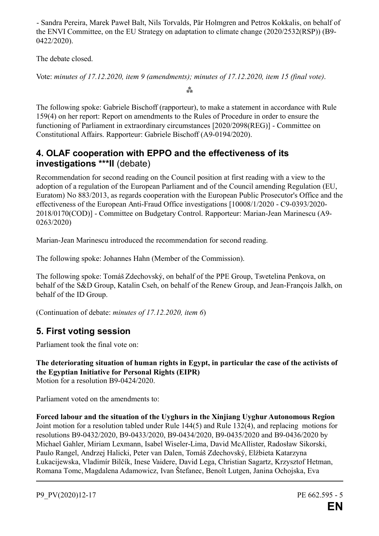- Sandra Pereira, Marek Paweł Balt, Nils Torvalds, Pär Holmgren and Petros Kokkalis, on behalf of the ENVI Committee, on the EU Strategy on adaptation to climate change (2020/2532(RSP)) (B9- 0422/2020).

The debate closed.

Vote: *minutes of 17.12.2020, item 9 (amendments); minutes of 17.12.2020, item 15 (final vote)*.

**⁂**

The following spoke: Gabriele Bischoff (rapporteur), to make a statement in accordance with Rule 159(4) on her report: Report on amendments to the Rules of Procedure in order to ensure the functioning of Parliament in extraordinary circumstances [2020/2098(REG)] - Committee on Constitutional Affairs. Rapporteur: Gabriele Bischoff (A9-0194/2020).

## **4. OLAF cooperation with EPPO and the effectiveness of its investigations \*\*\*II** (debate)

Recommendation for second reading on the Council position at first reading with a view to the adoption of a regulation of the European Parliament and of the Council amending Regulation (EU, Euratom) No 883/2013, as regards cooperation with the European Public Prosecutor's Office and the effectiveness of the European Anti-Fraud Office investigations [10008/1/2020 - C9-0393/2020- 2018/0170(COD)] - Committee on Budgetary Control. Rapporteur: Marian-Jean Marinescu (A9- 0263/2020)

Marian-Jean Marinescu introduced the recommendation for second reading.

The following spoke: Johannes Hahn (Member of the Commission).

The following spoke: Tomáš Zdechovský, on behalf of the PPE Group, Tsvetelina Penkova, on behalf of the S&D Group, Katalin Cseh, on behalf of the Renew Group, and Jean-François Jalkh, on behalf of the ID Group.

(Continuation of debate: *minutes of 17.12.2020, item 6*)

## **5. First voting session**

Parliament took the final vote on:

**The deteriorating situation of human rights in Egypt, in particular the case of the activists of the Egyptian Initiative for Personal Rights (EIPR)** Motion for a resolution B9-0424/2020.

Parliament voted on the amendments to:

**Forced labour and the situation of the Uyghurs in the Xinjiang Uyghur Autonomous Region** Joint motion for a resolution tabled under Rule 144(5) and Rule 132(4), and replacing motions for resolutions B9-0432/2020, B9-0433/2020, B9-0434/2020, B9-0435/2020 and B9-0436/2020 by Michael Gahler, Miriam Lexmann, Isabel Wiseler-Lima, David McAllister, Radosław Sikorski, Paulo Rangel, Andrzej Halicki, Peter van Dalen, Tomáš Zdechovský, Elżbieta Katarzyna Łukacijewska, Vladimír Bilčík, Inese Vaidere, David Lega, Christian Sagartz, Krzysztof Hetman, Romana Tomc, Magdalena Adamowicz, Ivan Štefanec, Benoît Lutgen, Janina Ochojska, Eva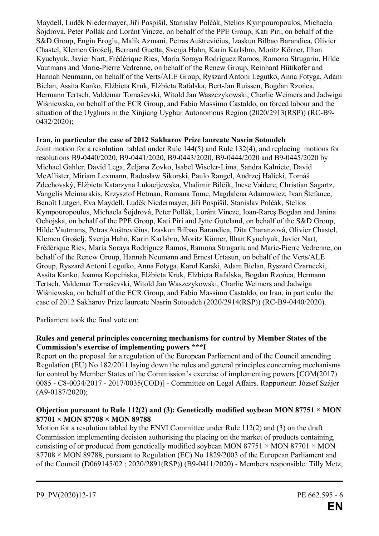Maydell, Luděk Niedermayer, Jiří Pospíšil, Stanislav Polčák, Stelios Kympouropoulos, Michaela Šojdrová, Peter Pollák and Loránt Vincze, on behalf of the PPE Group, Kati Piri, on behalf of the S&D Group, Engin Eroglu, Malik Azmani, Petras Auštrevičius, Izaskun Bilbao Barandica, Olivier Chastel, Klemen Grošelj, Bernard Guetta, Svenja Hahn, Karin Karlsbro, Moritz Körner, Ilhan Kyuchyuk, Javier Nart, Frédérique Ries, María Soraya Rodríguez Ramos, Ramona Strugariu, Hilde Vautmans and Marie-Pierre Vedrenne, on behalf of the Renew Group, Reinhard Bütikofer and Hannah Neumann, on behalf of the Verts/ALE Group, Ryszard Antoni Legutko, Anna Fotyga, Adam Bielan, Assita Kanko, Elżbieta Kruk, Elżbieta Rafalska, Bert-Jan Ruissen, Bogdan Rzońca, Hermann Tertsch, Valdemar Tomaševski, Witold Jan Waszczykowski, Charlie Weimers and Jadwiga Wiśniewska, on behalf of the ECR Group, and Fabio Massimo Castaldo, on forced labour and the situation of the Uyghurs in the Xinjiang Uyghur Autonomous Region (2020/2913(RSP)) (RC-B9- 0432/2020);

#### **Iran, in particular the case of 2012 Sakharov Prize laureate Nasrin Sotoudeh**

Joint motion for a resolution tabled under Rule 144(5) and Rule 132(4), and replacing motions for resolutions B9-0440/2020, B9-0441/2020, B9-0443/2020, B9-0444/2020 and B9-0445/2020 by Michael Gahler, David Lega, Željana Zovko, Isabel Wiseler-Lima, Sandra Kalniete, David McAllister, Miriam Lexmann, Radosław Sikorski, Paulo Rangel, Andrzej Halicki, Tomáš Zdechovský, Elżbieta Katarzyna Łukacijewska, Vladimír Bilčík, Inese Vaidere, Christian Sagartz, Vangelis Meimarakis, Krzysztof Hetman, Romana Tomc, Magdalena Adamowicz, Ivan Štefanec, Benoît Lutgen, Eva Maydell, Luděk Niedermayer, Jiří Pospíšil, Stanislav Polčák, Stelios Kympouropoulos, Michaela Šojdrová, Peter Pollák, Loránt Vincze, Ioan-Rareş Bogdan and Janina Ochojska, on behalf of the PPE Group, Kati Piri and Jytte Guteland, on behalf of the S&D Group, Hilde Vautmans, Petras Auštrevičius, Izaskun Bilbao Barandica, Dita Charanzová, Olivier Chastel, Klemen Grošelj, Svenja Hahn, Karin Karlsbro, Moritz Körner, Ilhan Kyuchyuk, Javier Nart, Frédérique Ries, María Soraya Rodríguez Ramos, Ramona Strugariu and Marie-Pierre Vedrenne, on behalf of the Renew Group, Hannah Neumann and Ernest Urtasun, on behalf of the Verts/ALE Group, Ryszard Antoni Legutko, Anna Fotyga, Karol Karski, Adam Bielan, Ryszard Czarnecki, Assita Kanko, Joanna Kopcińska, Elżbieta Kruk, Elżbieta Rafalska, Bogdan Rzońca, Hermann Tertsch, Valdemar Tomaševski, Witold Jan Waszczykowski, Charlie Weimers and Jadwiga Wiśniewska, on behalf of the ECR Group, and Fabio Massimo Castaldo, on Iran, in particular the case of 2012 Sakharov Prize laureate Nasrin Sotoudeh (2020/2914(RSP)) (RC-B9-0440/2020).

Parliament took the final vote on:

#### **Rules and general principles concerning mechanisms for control by Member States of the Commission's exercise of implementing powers \*\*\*I**

Report on the proposal for a regulation of the European Parliament and of the Council amending Regulation (EU) No 182/2011 laying down the rules and general principles concerning mechanisms for control by Member States of the Commission's exercise of implementing powers [COM(2017) 0085 - C8-0034/2017 - 2017/0035(COD)] - Committee on Legal Affairs. Rapporteur: József Szájer (A9-0187/2020);

#### **Objection pursuant to Rule 112(2) and (3): Genetically modified soybean MON 87751**  $\times$  **MON 87701 × MON 87708 × MON 89788**

Motion for a resolution tabled by the ENVI Committee under Rule 112(2) and (3) on the draft Commission implementing decision authorising the placing on the market of products containing, consisting of or produced from genetically modified soybean MON 87751  $\times$  MON 87701  $\times$  MON 87708 × MON 89788, pursuant to Regulation (EC) No 1829/2003 of the European Parliament and of the Council (D069145/02 ; 2020/2891(RSP)) (B9-0411/2020) - Members responsible: Tilly Metz,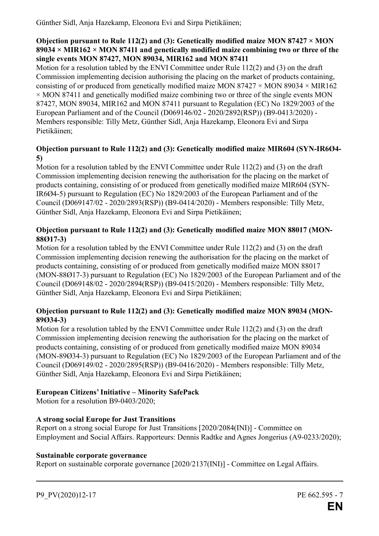Günther Sidl, Anja Hazekamp, Eleonora Evi and Sirpa Pietikäinen;

#### **Objection pursuant to Rule 112(2) and (3): Genetically modified maize MON 87427 × MON 89034 × MIR162 × MON 87411 and genetically modified maize combining two or three of the single events MON 87427, MON 89034, MIR162 and MON 87411**

Motion for a resolution tabled by the ENVI Committee under Rule 112(2) and (3) on the draft Commission implementing decision authorising the placing on the market of products containing, consisting of or produced from genetically modified maize MON 87427  $\times$  MON 89034  $\times$  MIR162  $\times$  MON 87411 and genetically modified maize combining two or three of the single events MON 87427, MON 89034, MIR162 and MON 87411 pursuant to Regulation (EC) No 1829/2003 of the European Parliament and of the Council (D069146/02 - 2020/2892(RSP)) (B9-0413/2020) - Members responsible: Tilly Metz, Günther Sidl, Anja Hazekamp, Eleonora Evi and Sirpa Pietikäinen;

#### **Objection pursuant to Rule 112(2) and (3): Genetically modified maize MIR604 (SYN-IR6Ø4- 5)**

Motion for a resolution tabled by the ENVI Committee under Rule 112(2) and (3) on the draft Commission implementing decision renewing the authorisation for the placing on the market of products containing, consisting of or produced from genetically modified maize MIR604 (SYN-IR6Ø4-5) pursuant to Regulation (EC) No 1829/2003 of the European Parliament and of the Council (D069147/02 - 2020/2893(RSP)) (B9-0414/2020) - Members responsible: Tilly Metz, Günther Sidl, Anja Hazekamp, Eleonora Evi and Sirpa Pietikäinen;

#### **Objection pursuant to Rule 112(2) and (3): Genetically modified maize MON 88017 (MON-88Ø17-3)**

Motion for a resolution tabled by the ENVI Committee under Rule 112(2) and (3) on the draft Commission implementing decision renewing the authorisation for the placing on the market of products containing, consisting of or produced from genetically modified maize MON 88017 (MON-88Ø17-3) pursuant to Regulation (EC) No 1829/2003 of the European Parliament and of the Council (D069148/02 - 2020/2894(RSP)) (B9-0415/2020) - Members responsible: Tilly Metz, Günther Sidl, Anja Hazekamp, Eleonora Evi and Sirpa Pietikäinen;

#### **Objection pursuant to Rule 112(2) and (3): Genetically modified maize MON 89034 (MON-89Ø34-3)**

Motion for a resolution tabled by the ENVI Committee under Rule 112(2) and (3) on the draft Commission implementing decision renewing the authorisation for the placing on the market of products containing, consisting of or produced from genetically modified maize MON 89034 (MON-89Ø34-3) pursuant to Regulation (EC) No 1829/2003 of the European Parliament and of the Council (D069149/02 - 2020/2895(RSP)) (B9-0416/2020) - Members responsible: Tilly Metz, Günther Sidl, Anja Hazekamp, Eleonora Evi and Sirpa Pietikäinen;

## **European Citizens' Initiative – Minority SafePack**

Motion for a resolution B9-0403/2020;

#### **A strong social Europe for Just Transitions**

Report on a strong social Europe for Just Transitions [2020/2084(INI)] - Committee on Employment and Social Affairs. Rapporteurs: Dennis Radtke and Agnes Jongerius (A9-0233/2020);

#### **Sustainable corporate governance**

Report on sustainable corporate governance [2020/2137(INI)] - Committee on Legal Affairs.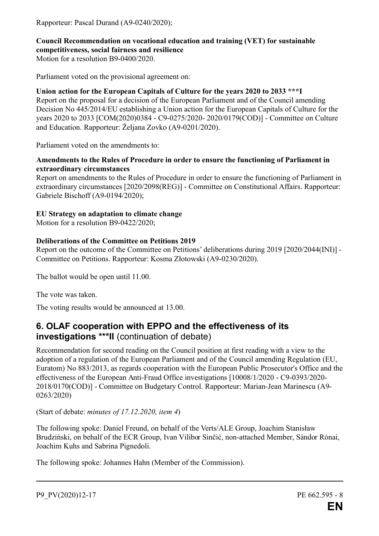Rapporteur: Pascal Durand (A9-0240/2020);

## **Council Recommendation on vocational education and training (VET) for sustainable competitiveness, social fairness and resilience**

Motion for a resolution B9-0400/2020.

Parliament voted on the provisional agreement on:

### **Union action for the European Capitals of Culture for the years 2020 to 2033 \*\*\*I**

Report on the proposal for a decision of the European Parliament and of the Council amending Decision No 445/2014/EU establishing a Union action for the European Capitals of Culture for the years 2020 to 2033 [COM(2020)0384 - C9-0275/2020- 2020/0179(COD)] - Committee on Culture and Education. Rapporteur: Željana Zovko (A9-0201/2020).

Parliament voted on the amendments to:

#### **Amendments to the Rules of Procedure in order to ensure the functioning of Parliament in extraordinary circumstances**

Report on amendments to the Rules of Procedure in order to ensure the functioning of Parliament in extraordinary circumstances [2020/2098(REG)] - Committee on Constitutional Affairs. Rapporteur: Gabriele Bischoff (A9-0194/2020);

#### **EU Strategy on adaptation to climate change**

Motion for a resolution B9-0422/2020;

## **Deliberations of the Committee on Petitions 2019**

Report on the outcome of the Committee on Petitions' deliberations during 2019 [2020/2044(INI)] - Committee on Petitions. Rapporteur: Kosma Złotowski (A9-0230/2020).

The ballot would be open until 11.00.

The vote was taken.

The voting results would be announced at 13.00.

## **6. OLAF cooperation with EPPO and the effectiveness of its investigations \*\*\*II** (continuation of debate)

Recommendation for second reading on the Council position at first reading with a view to the adoption of a regulation of the European Parliament and of the Council amending Regulation (EU, Euratom) No 883/2013, as regards cooperation with the European Public Prosecutor's Office and the effectiveness of the European Anti-Fraud Office investigations [10008/1/2020 - C9-0393/2020- 2018/0170(COD)] - Committee on Budgetary Control. Rapporteur: Marian-Jean Marinescu (A9- 0263/2020)

(Start of debate: *minutes of 17.12.2020, item 4*)

The following spoke: Daniel Freund, on behalf of the Verts/ALE Group, Joachim Stanisław Brudziński, on behalf of the ECR Group, Ivan Vilibor Sinčić, non-attached Member, Sándor Rónai, Joachim Kuhs and Sabrina Pignedoli.

The following spoke: Johannes Hahn (Member of the Commission).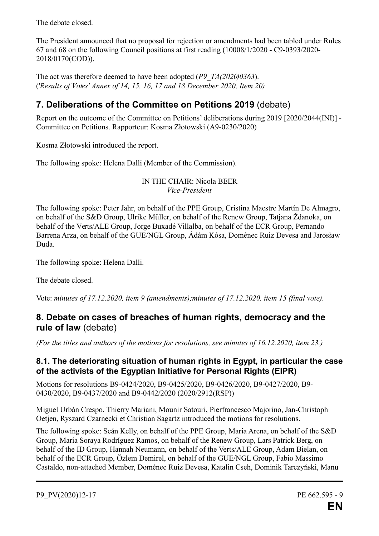The debate closed.

The President announced that no proposal for rejection or amendments had been tabled under Rules 67 and 68 on the following Council positions at first reading (10008/1/2020 - C9-0393/2020- 2018/0170(COD)).

The act was therefore deemed to have been adopted (*P9\_TA(2020)0363*). ('*Results of Votes' Annex of 14, 15, 16, 17 and 18 December 2020, Item 20)*

## **7. Deliberations of the Committee on Petitions 2019** (debate)

Report on the outcome of the Committee on Petitions' deliberations during 2019 [2020/2044(INI)] - Committee on Petitions. Rapporteur: Kosma Złotowski (A9-0230/2020)

Kosma Złotowski introduced the report.

The following spoke: Helena Dalli (Member of the Commission).

IN THE CHAIR: Nicola BEER *Vice-President*

The following spoke: Peter Jahr, on behalf of the PPE Group, Cristina Maestre Martín De Almagro, on behalf of the S&D Group, Ulrike Müller, on behalf of the Renew Group, Tatjana Ždanoka, on behalf of the Verts/ALE Group, Jorge Buxadé Villalba, on behalf of the ECR Group, Pernando Barrena Arza, on behalf of the GUE/NGL Group, Ádám Kósa, Domènec Ruiz Devesa and Jarosław Duda.

The following spoke: Helena Dalli.

The debate closed.

Vote: *minutes of 17.12.2020, item 9 (amendments);minutes of 17.12.2020, item 15 (final vote).*

## **8. Debate on cases of breaches of human rights, democracy and the rule of law** (debate)

*(For the titles and authors of the motions for resolutions, see minutes of 16.12.2020, item 23.)*

#### **8.1. The deteriorating situation of human rights in Egypt, in particular the case of the activists of the Egyptian Initiative for Personal Rights (EIPR)**

Motions for resolutions B9-0424/2020, B9-0425/2020, B9-0426/2020, B9-0427/2020, B9- 0430/2020, B9-0437/2020 and B9-0442/2020 (2020/2912(RSP))

Miguel Urbán Crespo, Thierry Mariani, Mounir Satouri, Pierfrancesco Majorino, Jan-Christoph Oetjen, Ryszard Czarnecki et Christian Sagartz introduced the motions for resolutions.

The following spoke: Seán Kelly, on behalf of the PPE Group, Maria Arena, on behalf of the S&D Group, María Soraya Rodríguez Ramos, on behalf of the Renew Group, Lars Patrick Berg, on behalf of the ID Group, Hannah Neumann, on behalf of the Verts/ALE Group, Adam Bielan, on behalf of the ECR Group, Özlem Demirel, on behalf of the GUE/NGL Group, Fabio Massimo Castaldo, non-attached Member, Domènec Ruiz Devesa, Katalin Cseh, Dominik Tarczyński, Manu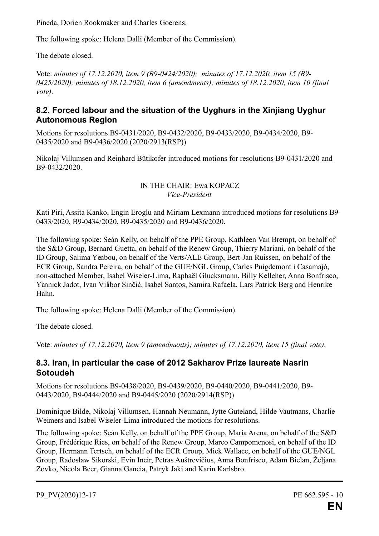Pineda, Dorien Rookmaker and Charles Goerens.

The following spoke: Helena Dalli (Member of the Commission).

The debate closed.

Vote: *minutes of 17.12.2020, item 9 (B9-0424/2020); minutes of 17.12.2020, item 15 (B9- 0425/2020); minutes of 18.12.2020, item 6 (amendments); minutes of 18.12.2020, item 10 (final vote)*.

### **8.2. Forced labour and the situation of the Uyghurs in the Xinjiang Uyghur Autonomous Region**

Motions for resolutions B9-0431/2020, B9-0432/2020, B9-0433/2020, B9-0434/2020, B9- 0435/2020 and B9-0436/2020 (2020/2913(RSP))

Nikolaj Villumsen and Reinhard Bütikofer introduced motions for resolutions B9-0431/2020 and B9-0432/2020.

#### IN THE CHAIR: Ewa KOPACZ *Vice-President*

Kati Piri, Assita Kanko, Engin Eroglu and Miriam Lexmann introduced motions for resolutions B9- 0433/2020, B9-0434/2020, B9-0435/2020 and B9-0436/2020.

The following spoke: Seán Kelly, on behalf of the PPE Group, Kathleen Van Brempt, on behalf of the S&D Group, Bernard Guetta, on behalf of the Renew Group, Thierry Mariani, on behalf of the ID Group, Salima Yenbou, on behalf of the Verts/ALE Group, Bert-Jan Ruissen, on behalf of the ECR Group, Sandra Pereira, on behalf of the GUE/NGL Group, Carles Puigdemont i Casamajó, non-attached Member, Isabel Wiseler-Lima, Raphaël Glucksmann, Billy Kelleher, Anna Bonfrisco, Yannick Jadot, Ivan Vilibor Sinčić, Isabel Santos, Samira Rafaela, Lars Patrick Berg and Henrike Hahn.

The following spoke: Helena Dalli (Member of the Commission).

The debate closed.

Vote: *minutes of 17.12.2020, item 9 (amendments); minutes of 17.12.2020, item 15 (final vote)*.

#### **8.3. Iran, in particular the case of 2012 Sakharov Prize laureate Nasrin Sotoudeh**

Motions for resolutions B9-0438/2020, B9-0439/2020, B9-0440/2020, B9-0441/2020, B9- 0443/2020, B9-0444/2020 and B9-0445/2020 (2020/2914(RSP))

Dominique Bilde, Nikolaj Villumsen, Hannah Neumann, Jytte Guteland, Hilde Vautmans, Charlie Weimers and Isabel Wiseler-Lima introduced the motions for resolutions.

The following spoke: Seán Kelly, on behalf of the PPE Group, Maria Arena, on behalf of the S&D Group, Frédérique Ries, on behalf of the Renew Group, Marco Campomenosi, on behalf of the ID Group, Hermann Tertsch, on behalf of the ECR Group, Mick Wallace, on behalf of the GUE/NGL Group, Radosław Sikorski, Evin Incir, Petras Auštrevičius, Anna Bonfrisco, Adam Bielan, Željana Zovko, Nicola Beer, Gianna Gancia, Patryk Jaki and Karin Karlsbro.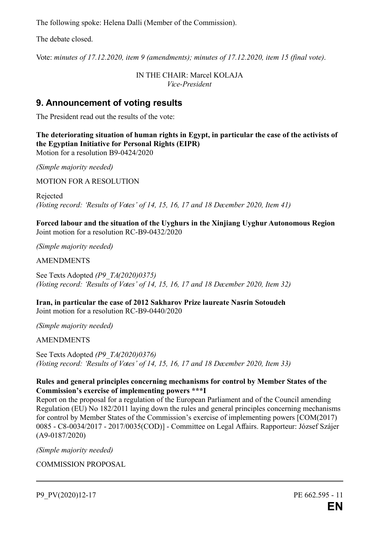The following spoke: Helena Dalli (Member of the Commission).

The debate closed.

Vote: *minutes of 17.12.2020, item 9 (amendments); minutes of 17.12.2020, item 15 (final vote)*.

IN THE CHAIR: Marcel KOLAJA *Vice-President*

## **9. Announcement of voting results**

The President read out the results of the vote:

**The deteriorating situation of human rights in Egypt, in particular the case of the activists of the Egyptian Initiative for Personal Rights (EIPR)** Motion for a resolution B9-0424/2020

*(Simple majority needed)*

MOTION FOR A RESOLUTION

Rejected *(Voting record: 'Results of Votes' of 14, 15, 16, 17 and 18 December 2020, Item 41)*

**Forced labour and the situation of the Uyghurs in the Xinjiang Uyghur Autonomous Region** Joint motion for a resolution RC-B9-0432/2020

*(Simple majority needed)*

AMENDMENTS

See Texts Adopted *(P9\_TA(2020)0375) (Voting record: 'Results of Votes' of 14, 15, 16, 17 and 18 December 2020, Item 32)*

**Iran, in particular the case of 2012 Sakharov Prize laureate Nasrin Sotoudeh** Joint motion for a resolution RC-B9-0440/2020

*(Simple majority needed)*

AMENDMENTS

See Texts Adopted *(P9\_TA(2020)0376) (Voting record: 'Results of Votes' of 14, 15, 16, 17 and 18 December 2020, Item 33)*

#### **Rules and general principles concerning mechanisms for control by Member States of the Commission's exercise of implementing powers \*\*\*I**

Report on the proposal for a regulation of the European Parliament and of the Council amending Regulation (EU) No 182/2011 laying down the rules and general principles concerning mechanisms for control by Member States of the Commission's exercise of implementing powers [COM(2017) 0085 - C8-0034/2017 - 2017/0035(COD)] - Committee on Legal Affairs. Rapporteur: József Szájer (A9-0187/2020)

*(Simple majority needed)*

COMMISSION PROPOSAL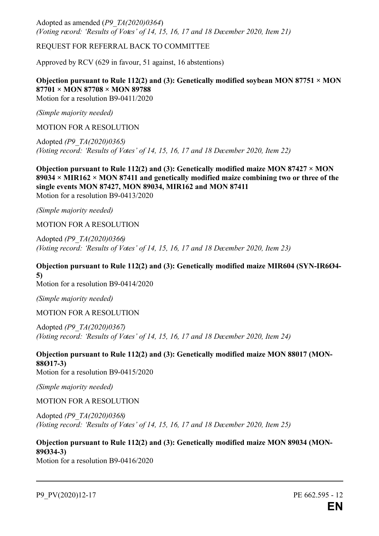Adopted as amended (*P9\_TA(2020)0364*) *(Voting record: 'Results of Votes' of 14, 15, 16, 17 and 18 December 2020, Item 21)*

REQUEST FOR REFERRAL BACK TO COMMITTEE

Approved by RCV (629 in favour, 51 against, 16 abstentions)

**Objection pursuant to Rule 112(2) and (3): Genetically modified soybean MON 87751**  $\times$  **MON 87701 × MON 87708 × MON 89788** Motion for a resolution B9-0411/2020

*(Simple majority needed)*

MOTION FOR A RESOLUTION

Adopted *(P9\_TA(2020)0365) (Voting record: 'Results of Votes' of 14, 15, 16, 17 and 18 December 2020, Item 22)*

**Objection pursuant to Rule 112(2) and (3): Genetically modified maize MON 87427**  $\times$  **MON 89034 × MIR162 × MON 87411 and genetically modified maize combining two or three of the single events MON 87427, MON 89034, MIR162 and MON 87411** Motion for a resolution B9-0413/2020

*(Simple majority needed)*

MOTION FOR A RESOLUTION

Adopted *(P9\_TA(2020)0366) (Voting record: 'Results of Votes' of 14, 15, 16, 17 and 18 December 2020, Item 23)*

**Objection pursuant to Rule 112(2) and (3): Genetically modified maize MIR604 (SYN-IR6Ø4- 5)**

Motion for a resolution B9-0414/2020

*(Simple majority needed)*

MOTION FOR A RESOLUTION

Adopted *(P9\_TA(2020)0367) (Voting record: 'Results of Votes' of 14, 15, 16, 17 and 18 December 2020, Item 24)*

**Objection pursuant to Rule 112(2) and (3): Genetically modified maize MON 88017 (MON-88Ø17-3)**

Motion for a resolution B9-0415/2020

*(Simple majority needed)*

MOTION FOR A RESOLUTION

Adopted *(P9\_TA(2020)0368) (Voting record: 'Results of Votes' of 14, 15, 16, 17 and 18 December 2020, Item 25)*

**Objection pursuant to Rule 112(2) and (3): Genetically modified maize MON 89034 (MON-89Ø34-3)**

Motion for a resolution B9-0416/2020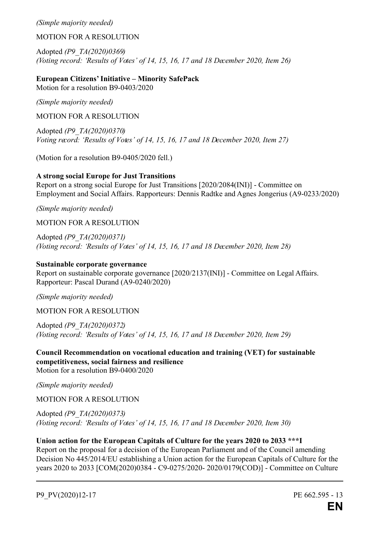#### *(Simple majority needed)*

MOTION FOR A RESOLUTION

Adopted *(P9\_TA(2020)0369) (Voting record: 'Results of Votes' of 14, 15, 16, 17 and 18 December 2020, Item 26)*

**European Citizens' Initiative – Minority SafePack** Motion for a resolution B9-0403/2020

*(Simple majority needed)*

MOTION FOR A RESOLUTION

Adopted *(P9\_TA(2020)0370) Voting record: 'Results of Votes' of 14, 15, 16, 17 and 18 December 2020, Item 27)*

(Motion for a resolution B9-0405/2020 fell.)

#### **A strong social Europe for Just Transitions**

Report on a strong social Europe for Just Transitions [2020/2084(INI)] - Committee on Employment and Social Affairs. Rapporteurs: Dennis Radtke and Agnes Jongerius (A9-0233/2020)

*(Simple majority needed)*

MOTION FOR A RESOLUTION

Adopted *(P9\_TA(2020)0371) (Voting record: 'Results of Votes' of 14, 15, 16, 17 and 18 December 2020, Item 28)*

#### **Sustainable corporate governance**

Report on sustainable corporate governance [2020/2137(INI)] - Committee on Legal Affairs. Rapporteur: Pascal Durand (A9-0240/2020)

*(Simple majority needed)*

MOTION FOR A RESOLUTION

Adopted *(P9\_TA(2020)0372) (Voting record: 'Results of Votes' of 14, 15, 16, 17 and 18 December 2020, Item 29)*

**Council Recommendation on vocational education and training (VET) for sustainable competitiveness, social fairness and resilience** Motion for a resolution B9-0400/2020

*(Simple majority needed)*

MOTION FOR A RESOLUTION

Adopted *(P9\_TA(2020)0373) (Voting record: 'Results of Votes' of 14, 15, 16, 17 and 18 December 2020, Item 30)*

#### **Union action for the European Capitals of Culture for the years 2020 to 2033 \*\*\*I**

Report on the proposal for a decision of the European Parliament and of the Council amending Decision No 445/2014/EU establishing a Union action for the European Capitals of Culture for the years 2020 to 2033 [COM(2020)0384 - C9-0275/2020- 2020/0179(COD)] - Committee on Culture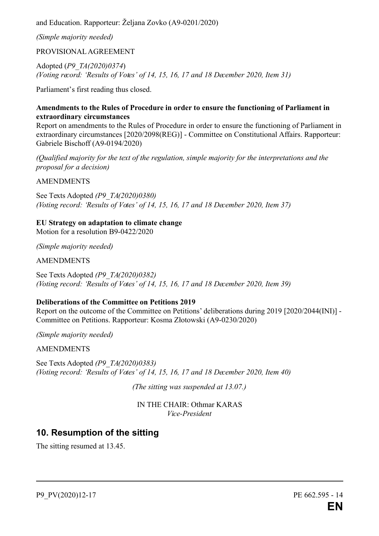and Education. Rapporteur: Željana Zovko (A9-0201/2020)

*(Simple majority needed)*

PROVISIONALAGREEMENT

Adopted (*P9\_TA(2020)0374*) *(Voting record: 'Results of Votes' of 14, 15, 16, 17 and 18 December 2020, Item 31)*

Parliament's first reading thus closed.

#### **Amendments to the Rules of Procedure in order to ensure the functioning of Parliament in extraordinary circumstances**

Report on amendments to the Rules of Procedure in order to ensure the functioning of Parliament in extraordinary circumstances [2020/2098(REG)] - Committee on Constitutional Affairs. Rapporteur: Gabriele Bischoff (A9-0194/2020)

*(Qualified majority for the text of the regulation, simple majority for the interpretations and the proposal for a decision)*

**AMENDMENTS** 

See Texts Adopted *(P9\_TA(2020)0380) (Voting record: 'Results of Votes' of 14, 15, 16, 17 and 18 December 2020, Item 37)*

**EU Strategy on adaptation to climate change** Motion for a resolution B9-0422/2020

*(Simple majority needed)*

AMENDMENTS

See Texts Adopted *(P9\_TA(2020)0382) (Voting record: 'Results of Votes' of 14, 15, 16, 17 and 18 December 2020, Item 39)*

#### **Deliberations of the Committee on Petitions 2019**

Report on the outcome of the Committee on Petitions' deliberations during 2019 [2020/2044(INI)] - Committee on Petitions. Rapporteur: Kosma Złotowski (A9-0230/2020)

*(Simple majority needed)*

AMENDMENTS

See Texts Adopted *(P9\_TA(2020)0383) (Voting record: 'Results of Votes' of 14, 15, 16, 17 and 18 December 2020, Item 40)*

*(The sitting was suspended at 13.07.)*

IN THE CHAIR: Othmar KARAS *Vice-President*

## **10. Resumption of the sitting**

The sitting resumed at 13.45.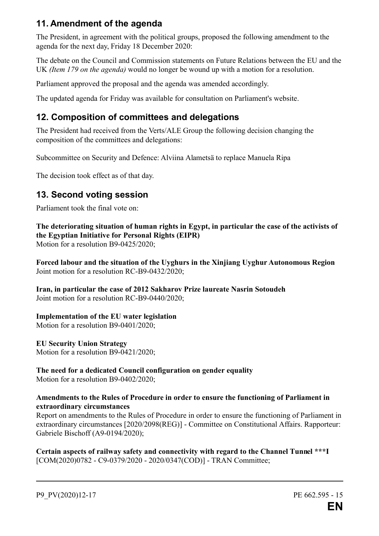## **11. Amendment of the agenda**

The President, in agreement with the political groups, proposed the following amendment to the agenda for the next day, Friday 18 December 2020:

The debate on the Council and Commission statements on Future Relations between the EU and the UK *(Item 179 on the agenda)* would no longer be wound up with a motion for a resolution.

Parliament approved the proposal and the agenda was amended accordingly.

The updated agenda for Friday was available for consultation on Parliament's website.

## **12. Composition of committees and delegations**

The President had received from the Verts/ALE Group the following decision changing the composition of the committees and delegations:

Subcommittee on Security and Defence: Alviina Alametsä to replace Manuela Ripa

The decision took effect as of that day.

## **13. Second voting session**

Parliament took the final vote on:

**The deteriorating situation of human rights in Egypt, in particular the case of the activists of the Egyptian Initiative for Personal Rights (EIPR)**

Motion for a resolution B9-0425/2020;

**Forced labour and the situation of the Uyghurs in the Xinjiang Uyghur Autonomous Region** Joint motion for a resolution RC-B9-0432/2020;

**Iran, in particular the case of 2012 Sakharov Prize laureate Nasrin Sotoudeh** Joint motion for a resolution RC-B9-0440/2020;

#### **Implementation of the EU water legislation**

Motion for a resolution B9-0401/2020;

#### **EU Security Union Strategy**

Motion for a resolution B9-0421/2020;

## **The need for a dedicated Council configuration on gender equality**

Motion for a resolution B9-0402/2020;

#### **Amendments to the Rules of Procedure in order to ensure the functioning of Parliament in extraordinary circumstances**

Report on amendments to the Rules of Procedure in order to ensure the functioning of Parliament in extraordinary circumstances [2020/2098(REG)] - Committee on Constitutional Affairs. Rapporteur: Gabriele Bischoff (A9-0194/2020);

**Certain aspects of railway safety and connectivity with regard to the Channel Tunnel \*\*\*I** [COM(2020)0782 - C9-0379/2020 - 2020/0347(COD)] - TRAN Committee;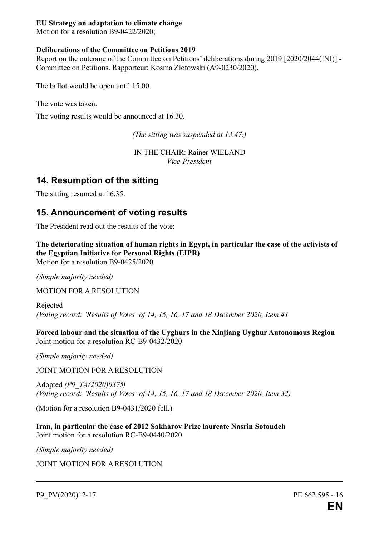#### **EU Strategy on adaptation to climate change**

Motion for a resolution B9-0422/2020;

#### **Deliberations of the Committee on Petitions 2019**

Report on the outcome of the Committee on Petitions' deliberations during 2019 [2020/2044(INI)] - Committee on Petitions. Rapporteur: Kosma Złotowski (A9-0230/2020).

The ballot would be open until 15.00.

The vote was taken.

The voting results would be announced at 16.30.

*(The sitting was suspended at 13.47.)*

IN THE CHAIR: Rainer WIELAND *Vice-President*

## **14. Resumption of the sitting**

The sitting resumed at 16.35.

## **15. Announcement of voting results**

The President read out the results of the vote:

**The deteriorating situation of human rights in Egypt, in particular the case of the activists of the Egyptian Initiative for Personal Rights (EIPR)**

Motion for a resolution B9-0425/2020

*(Simple majority needed)*

MOTION FOR A RESOLUTION

Rejected *(Voting record: 'Results of Votes' of 14, 15, 16, 17 and 18 December 2020, Item 41*

**Forced labour and the situation of the Uyghurs in the Xinjiang Uyghur Autonomous Region** Joint motion for a resolution RC-B9-0432/2020

*(Simple majority needed)*

JOINT MOTION FOR A RESOLUTION

Adopted *(P9\_TA(2020)0375) (Voting record: 'Results of Votes' of 14, 15, 16, 17 and 18 December 2020, Item 32)*

(Motion for a resolution B9-0431/2020 fell.)

**Iran, in particular the case of 2012 Sakharov Prize laureate Nasrin Sotoudeh** Joint motion for a resolution RC-B9-0440/2020

*(Simple majority needed)*

JOINT MOTION FOR A RESOLUTION

P9\_PV(2020)12-17 PE 662.595 - 16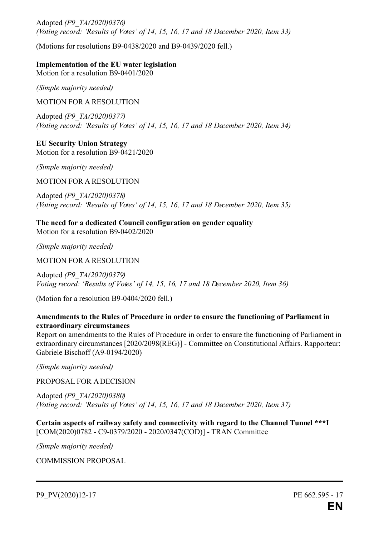Adopted *(P9\_TA(2020)0376) (Voting record: 'Results of Votes' of 14, 15, 16, 17 and 18 December 2020, Item 33)*

(Motions for resolutions B9-0438/2020 and B9-0439/2020 fell.)

#### **Implementation of the EU water legislation**

Motion for a resolution B9-0401/2020

*(Simple majority needed)*

MOTION FOR A RESOLUTION

Adopted *(P9\_TA(2020)0377) (Voting record: 'Results of Votes' of 14, 15, 16, 17 and 18 December 2020, Item 34)*

**EU Security Union Strategy** Motion for a resolution B9-0421/2020

*(Simple majority needed)*

MOTION FOR A RESOLUTION

Adopted *(P9\_TA(2020)0378) (Voting record: 'Results of Votes' of 14, 15, 16, 17 and 18 December 2020, Item 35)*

**The need for a dedicated Council configuration on gender equality** Motion for a resolution B9-0402/2020

*(Simple majority needed)*

MOTION FOR A RESOLUTION

Adopted *(P9\_TA(2020)0379) Voting record: 'Results of Votes' of 14, 15, 16, 17 and 18 December 2020, Item 36)*

(Motion for a resolution B9-0404/2020 fell.)

#### **Amendments to the Rules of Procedure in order to ensure the functioning of Parliament in extraordinary circumstances**

Report on amendments to the Rules of Procedure in order to ensure the functioning of Parliament in extraordinary circumstances [2020/2098(REG)] - Committee on Constitutional Affairs. Rapporteur: Gabriele Bischoff (A9-0194/2020)

*(Simple majority needed)*

PROPOSAL FOR A DECISION

Adopted *(P9\_TA(2020)0380) (Voting record: 'Results of Votes' of 14, 15, 16, 17 and 18 December 2020, Item 37)*

**Certain aspects of railway safety and connectivity with regard to the Channel Tunnel \*\*\*I** [COM(2020)0782 - C9-0379/2020 - 2020/0347(COD)] - TRAN Committee

*(Simple majority needed)*

COMMISSION PROPOSAL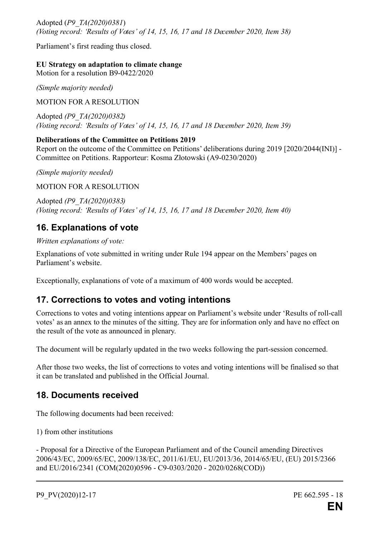Adopted (*P9\_TA(2020)0381*) *(Voting record: 'Results of Votes' of 14, 15, 16, 17 and 18 December 2020, Item 38)*

Parliament's first reading thus closed.

**EU Strategy on adaptation to climate change**

Motion for a resolution B9-0422/2020

*(Simple majority needed)*

MOTION FOR A RESOLUTION

Adopted *(P9\_TA(2020)0382) (Voting record: 'Results of Votes' of 14, 15, 16, 17 and 18 December 2020, Item 39)*

#### **Deliberations of the Committee on Petitions 2019**

Report on the outcome of the Committee on Petitions' deliberations during 2019 [2020/2044(INI)] - Committee on Petitions. Rapporteur: Kosma Złotowski (A9-0230/2020)

*(Simple majority needed)*

MOTION FOR A RESOLUTION

Adopted *(P9\_TA(2020)0383) (Voting record: 'Results of Votes' of 14, 15, 16, 17 and 18 December 2020, Item 40)*

## **16. Explanations of vote**

*Written explanations of vote:*

Explanations of vote submitted in writing under Rule 194 appear on the Members' pages on Parliament's website.

Exceptionally, explanations of vote of a maximum of 400 words would be accepted.

## **17. Corrections to votes and voting intentions**

Corrections to votes and voting intentions appear on Parliament's website under 'Results of roll-call votes' as an annex to the minutes of the sitting. They are for information only and have no effect on the result of the vote as announced in plenary.

The document will be regularly updated in the two weeks following the part-session concerned.

After those two weeks, the list of corrections to votes and voting intentions will be finalised so that it can be translated and published in the Official Journal.

## **18. Documents received**

The following documents had been received:

1) from other institutions

- Proposal for a Directive of the European Parliament and of the Council amending Directives 2006/43/EC, 2009/65/EC, 2009/138/EC, 2011/61/EU, EU/2013/36, 2014/65/EU, (EU) 2015/2366 and EU/2016/2341 (COM(2020)0596 - C9-0303/2020 - 2020/0268(COD))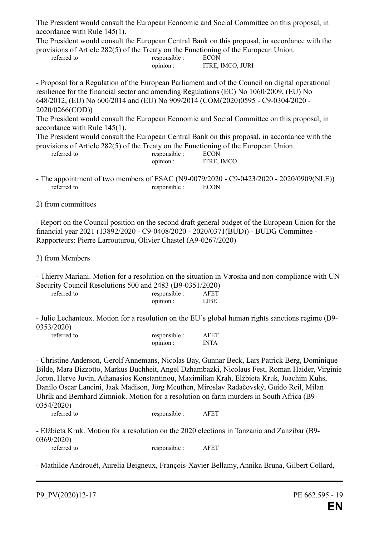The President would consult the European Economic and Social Committee on this proposal, in accordance with Rule 145(1).

The President would consult the European Central Bank on this proposal, in accordance with the provisions of Article 282(5) of the Treaty on the Functioning of the European Union.

| $\sim$ . Account the company matrix $\sim$ , which is a company of the company of the company of the company of the company of the company of the company of the company of the company of the company of the company of the comp |               |                  |  |
|-----------------------------------------------------------------------------------------------------------------------------------------------------------------------------------------------------------------------------------|---------------|------------------|--|
| referred to                                                                                                                                                                                                                       | responsible : | ECON             |  |
|                                                                                                                                                                                                                                   | opinion:      | ITRE. IMCO. JURI |  |
|                                                                                                                                                                                                                                   |               |                  |  |

- Proposal for a Regulation of the European Parliament and of the Council on digital operational resilience for the financial sector and amending Regulations (EC) No 1060/2009, (EU) No 648/2012, (EU) No 600/2014 and (EU) No 909/2014 (COM(2020)0595 - C9-0304/2020 - 2020/0266(COD))

The President would consult the European Economic and Social Committee on this proposal, in accordance with Rule 145(1).

The President would consult the European Central Bank on this proposal, in accordance with the provisions of Article 282(5) of the Treaty on the Functioning of the European Union. referred to

| responsible : | <b>ECON</b> |
|---------------|-------------|
| opinion:      | ITRE, IMCO  |

- The appointment of two members of ESAC (N9-0079/2020 C9-0423/2020 2020/0909(NLE)) referred to responsible : ECON
- 2) from committees

- Report on the Council position on the second draft general budget of the European Union for the financial year 2021 (13892/2020 - C9-0408/2020 - 2020/0371(BUD)) - BUDG Committee - Rapporteurs: Pierre Larrouturou, Olivier Chastel (A9-0267/2020)

3) from Members

- Thierry Mariani. Motion for a resolution on the situation in Varosha and non-compliance with UN Security Council Resolutions 500 and 2483 (B9-0351/2020)

| referred to | responsible : | A FET |
|-------------|---------------|-------|
|             | $0n$ 1111011: | I IRE |

- Julie Lechanteux. Motion for a resolution on the EU's global human rights sanctions regime (B9- 0353/2020)

| referred to | responsible :<br><b>AFET</b> |             |  |
|-------------|------------------------------|-------------|--|
|             | opinion:                     | <b>INTA</b> |  |

- Christine Anderson, Gerolf Annemans, Nicolas Bay, Gunnar Beck, Lars Patrick Berg, Dominique Bilde, Mara Bizzotto, Markus Buchheit, Angel Dzhambazki, Nicolaus Fest, Roman Haider, Virginie Joron, Herve Juvin, Athanasios Konstantinou, Maximilian Krah, Elżbieta Kruk, Joachim Kuhs, Danilo Oscar Lancini, Jaak Madison, Jörg Meuthen, Miroslav Radačovský, Guido Reil, Milan Uhrík and Bernhard Zimniok. Motion for a resolution on farm murders in South Africa (B9- 0354/2020)

referred to responsible : AFET

- Elżbieta Kruk. Motion for a resolution on the 2020 elections in Tanzania and Zanzibar (B9- 0369/2020) referred to responsible : AFET

- Mathilde Androuët, Aurelia Beigneux, François-Xavier Bellamy,Annika Bruna, Gilbert Collard,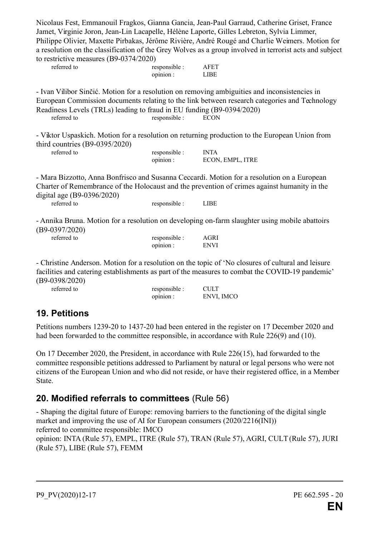Nicolaus Fest, Emmanouil Fragkos, Gianna Gancia, Jean-Paul Garraud, Catherine Griset, France Jamet, Virginie Joron, Jean-Lin Lacapelle, Hélène Laporte, Gilles Lebreton, Sylvia Limmer, Philippe Olivier, Maxette Pirbakas, Jérôme Rivière, André Rougé and Charlie Weimers. Motion for a resolution on the classification of the Grey Wolves as a group involved in terrorist acts and subject to restrictive measures (B9-0374/2020)

| referred to | responsible : | <b>AFET</b> |
|-------------|---------------|-------------|
|             | $0011101$ :   | LIRE        |

- Ivan Vilibor Sinčić. Motion for a resolution on removing ambiguities and inconsistencies in European Commission documents relating to the link between research categories and Technology Readiness Levels (TRLs) leading to fraud in EU funding (B9-0394/2020) referred to responsible : ECON

|                                  | - Viktor Uspaskich. Motion for a resolution on returning production to the European Union from |  |
|----------------------------------|------------------------------------------------------------------------------------------------|--|
| third countries $(B9-0395/2020)$ |                                                                                                |  |

| referred to |  | responsible : | <b>INTA</b>      |
|-------------|--|---------------|------------------|
|             |  | opinion:      | ECON. EMPL. ITRE |

- Mara Bizzotto, Anna Bonfrisco and Susanna Ceccardi. Motion for a resolution on a European Charter of Remembrance of the Holocaust and the prevention of crimes against humanity in the digital age (B9-0396/2020)

referred to responsible : LIBE

- Annika Bruna. Motion for a resolution on developing on-farm slaughter using mobile abattoirs (B9-0397/2020)

| referred to | responsible : | AGRI        |
|-------------|---------------|-------------|
|             | opinion:      | <b>ENVI</b> |

- Christine Anderson. Motion for a resolution on the topic of 'No closures of cultural and leisure facilities and catering establishments as part of the measures to combat the COVID-19 pandemic' (B9-0398/2020)

| responsible : | <b>CULT</b> |
|---------------|-------------|
| opinion:      | ENVI, IMCO  |

## **19. Petitions**

referred to

Petitions numbers 1239-20 to 1437-20 had been entered in the register on 17 December 2020 and had been forwarded to the committee responsible, in accordance with Rule 226(9) and (10).

On 17 December 2020, the President, in accordance with Rule 226(15), had forwarded to the committee responsible petitions addressed to Parliament by natural or legal persons who were not citizens of the European Union and who did not reside, or have their registered office, in a Member State.

## **20. Modified referrals to committees** (Rule 56)

- Shaping the digital future of Europe: removing barriers to the functioning of the digital single market and improving the use of AI for European consumers (2020/2216(INI)) referred to committee responsible: IMCO opinion: INTA (Rule 57), EMPL, ITRE (Rule 57), TRAN (Rule 57), AGRI, CULT (Rule 57), JURI (Rule 57), LIBE (Rule 57), FEMM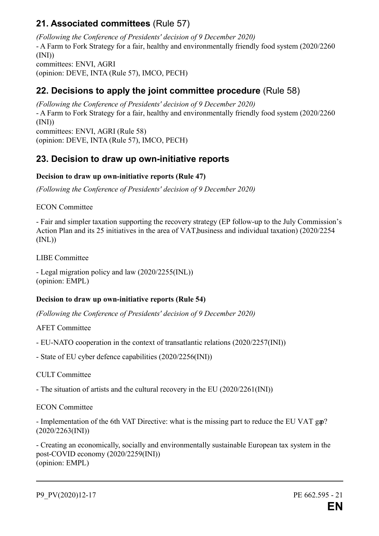## **21. Associated committees** (Rule 57)

*(Following the Conference of Presidents' decision of 9 December 2020)* - A Farm to Fork Strategy for a fair, healthy and environmentally friendly food system (2020/2260 (INI)) committees: ENVI, AGRI (opinion: DEVE, INTA (Rule 57), IMCO, PECH)

## **22. Decisions to apply the joint committee procedure** (Rule 58)

*(Following the Conference of Presidents' decision of 9 December 2020)* - A Farm to Fork Strategy for a fair, healthy and environmentally friendly food system (2020/2260  $(INI)$ committees: ENVI, AGRI (Rule 58) (opinion: DEVE, INTA (Rule 57), IMCO, PECH)

## **23. Decision to draw up own-initiative reports**

#### **Decision to draw up own-initiative reports (Rule 47)**

*(Following the Conference of Presidents' decision of 9 December 2020)*

ECON Committee

- Fair and simpler taxation supporting the recovery strategy (EP follow-up to the July Commission's Action Plan and its 25 initiatives in the area of VAT, business and individual taxation) (2020/2254  $(INL)$ 

LIBE Committee

- Legal migration policy and law (2020/2255(INL)) (opinion: EMPL)

#### **Decision to draw up own-initiative reports (Rule 54)**

*(Following the Conference of Presidents' decision of 9 December 2020)*

AFET Committee

- EU-NATO cooperation in the context of transatlantic relations (2020/2257(INI))

- State of EU cyber defence capabilities (2020/2256(INI))

CULT Committee

- The situation of artists and the cultural recovery in the EU (2020/2261(INI))

ECON Committee

- Implementation of the 6th VAT Directive: what is the missing part to reduce the EU VAT gap? (2020/2263(INI))

- Creating an economically, socially and environmentally sustainable European tax system in the post-COVID economy (2020/2259(INI)) (opinion: EMPL)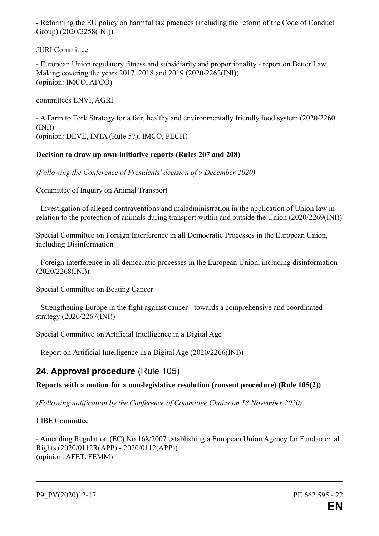- Reforming the EU policy on harmful tax practices (including the reform of the Code of Conduct Group) (2020/2258(INI))

JURI Committee

- European Union regulatory fitness and subsidiarity and proportionality - report on Better Law Making covering the years 2017, 2018 and 2019 (2020/2262(INI)) (opinion: IMCO, AFCO)

committees ENVI, AGRI

- A Farm to Fork Strategy for a fair, healthy and environmentally friendly food system (2020/2260  $(INI)$ (opinion: DEVE, INTA (Rule 57), IMCO, PECH)

## **Decision to draw up own-initiative reports (Rules 207 and 208)**

*(Following the Conference of Presidents' decision of 9 December 2020)*

Committee of Inquiry on Animal Transport

- Investigation of alleged contraventions and maladministration in the application of Union law in relation to the protection of animals during transport within and outside the Union (2020/2269(INI))

Special Committee on Foreign Interference in all Democratic Processes in the European Union, including Disinformation

- Foreign interference in all democratic processes in the European Union, including disinformation (2020/2268(INI))

Special Committee on Beating Cancer

- Strengthening Europe in the fight against cancer - towards a comprehensive and coordinated strategy (2020/2267(INI))

Special Committee on Artificial Intelligence in a Digital Age

- Report on Artificial Intelligence in a Digital Age (2020/2266(INI))

## **24. Approval procedure** (Rule 105)

#### **Reports with a motion for a non-legislative resolution (consent procedure) (Rule 105(2))**

*(Following notification by the Conference of Committee Chairs on 18 November 2020)*

LIBE Committee

- Amending Regulation (EC) No 168/2007 establishing a European Union Agency for Fundamental Rights (2020/0112R(APP) - 2020/0112(APP)) (opinion: AFET, FEMM)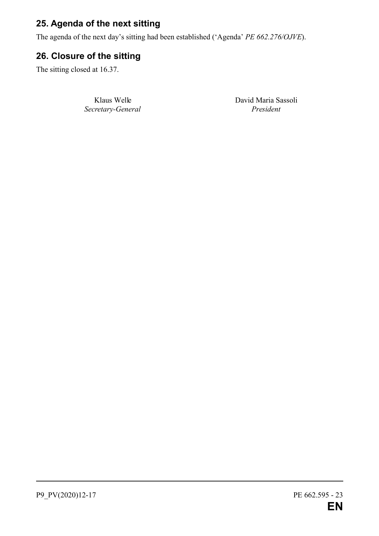## **25. Agenda of the next sitting**

The agenda of the next day's sitting had been established ('Agenda' *PE 662.276/OJVE*).

## **26. Closure of the sitting**

The sitting closed at 16.37.

*Secretary-General President*

Klaus Welle David Maria Sassoli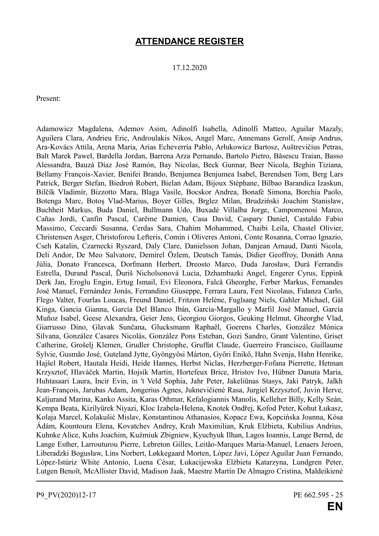## **ATTENDANCE REGISTER**

17.12.2020

Present:

Adamowicz Magdalena, Ademov Asim, Adinolfi Isabella, Adinolfi Matteo, Aguilar Mazaly, Aguilera Clara, Andrieu Eric, Androulakis Nikos, Angel Marc, Annemans Gerolf, Ansip Andrus, Ara-Kovács Attila, Arena Maria, Arias Echeverría Pablo, Arłukowicz Bartosz, Auštrevičius Petras, Balt Marek Paweł, Bardella Jordan, Barrena Arza Pernando, Bartolo Pietro, Băsescu Traian, Basso Alessandra, Bauzá Díaz José Ramón, Bay Nicolas, Beck Gunnar, Beer Nicola, Beghin Tiziana, Bellamy François-Xavier, Benifei Brando, Benjumea Benjumea Isabel, Berendsen Tom, Berg Lars Patrick, Berger Stefan, Biedroń Robert, Bielan Adam, Bijoux Stéphane, Bilbao Barandica Izaskun, Bilčík Vladimír, Bizzotto Mara, Blaga Vasile, Bocskor Andrea, Bonafè Simona, Borchia Paolo, Botenga Marc, Botoş Vlad-Marius, Boyer Gilles, Brglez Milan, Brudziński Joachim Stanisław, Buchheit Markus, Buda Daniel, Bullmann Udo, Buxadé Villalba Jorge, Campomenosi Marco, Cañas Jordi, Canfin Pascal, Carême Damien, Casa David, Caspary Daniel, Castaldo Fabio Massimo, Ceccardi Susanna, Cerdas Sara, Chahim Mohammed, Chaibi Leila, Chastel Olivier, Christensen Asger, Christoforou Lefteris, Comín i Oliveres Antoni, Conte Rosanna, Corrao Ignazio, Cseh Katalin, Czarnecki Ryszard, Daly Clare, Danielsson Johan, Danjean Arnaud, Danti Nicola, Deli Andor, De Meo Salvatore, Demirel Özlem, Deutsch Tamás, Didier Geoffroy, Donáth Anna Júlia, Donato Francesca, Dorfmann Herbert, Dreosto Marco, Duda Jarosław, Durá Ferrandis Estrella, Durand Pascal, Ďuriš Nicholsonová Lucia, Dzhambazki Angel, Engerer Cyrus, Eppink Derk Jan, Eroglu Engin, Ertug Ismail, Evi Eleonora, Falcă Gheorghe, Ferber Markus, Fernandes José Manuel, Fernández Jonás, Ferrandino Giuseppe, Ferrara Laura, Fest Nicolaus, Fidanza Carlo, Flego Valter, Fourlas Loucas, Freund Daniel, Fritzon Heléne, Fuglsang Niels, Gahler Michael, Gál Kinga, Gancia Gianna, García Del Blanco Ibán, García-Margallo y Marfil José Manuel, García Muñoz Isabel, Geese Alexandra, Geier Jens, Georgiou Giorgos, Geuking Helmut, Gheorghe Vlad, Giarrusso Dino, Glavak Sunčana, Glucksmann Raphaël, Goerens Charles, González Mónica Silvana, González Casares Nicolás, González Pons Esteban, Gozi Sandro, Grant Valentino, Griset Catherine, Grošelj Klemen, Grudler Christophe, Gruffat Claude, Guerreiro Francisco, Guillaume Sylvie, Gusmão José, Guteland Jytte, Gyöngyösi Márton, Győri Enikő, Hahn Svenja, Hahn Henrike, Hajšel Robert, Hautala Heidi, Heide Hannes, Herbst Niclas, Herzberger-Fofana Pierrette, Hetman Krzysztof, Hlaváček Martin, Hojsík Martin, Hortefeux Brice, Hristov Ivo, Hübner Danuta Maria, Huhtasaari Laura, Incir Evin, in 't Veld Sophia, Jahr Peter, Jakeliūnas Stasys, Jaki Patryk, Jalkh Jean-François, Jarubas Adam, Jongerius Agnes, Juknevičienė Rasa, Jurgiel Krzysztof, Juvin Herve, Kaljurand Marina, Kanko Assita, Karas Othmar, Kefalogiannis Manolis, Kelleher Billy, Kelly Seán, Kempa Beata, Kizilyürek Niyazi, Kloc Izabela-Helena, Knotek Ondřej, Kofod Peter, Kohut Łukasz, Kolaja Marcel, Kolakušić Mislav, Konstantinou Athanasios, Kopacz Ewa, Kopcińska Joanna, Kósa Ádám, Kountoura Elena, Kovatchev Andrey, Krah Maximilian, Kruk Elżbieta, Kubilius Andrius, Kuhnke Alice, Kuhs Joachim, Kuźmiuk Zbigniew, Kyuchyuk Ilhan, Lagos Ioannis, Lange Bernd, de Lange Esther, Larrouturou Pierre, Lebreton Gilles, Leitão-Marques Maria-Manuel, Lenaers Jeroen, Liberadzki Bogusław, Lins Norbert, Løkkegaard Morten, López Javi, López Aguilar Juan Fernando, López-Istúriz White Antonio, Luena César, Łukacijewska Elżbieta Katarzyna, Lundgren Peter, Lutgen Benoît, McAllister David, Madison Jaak, Maestre Martín De Almagro Cristina, Maldeikienė